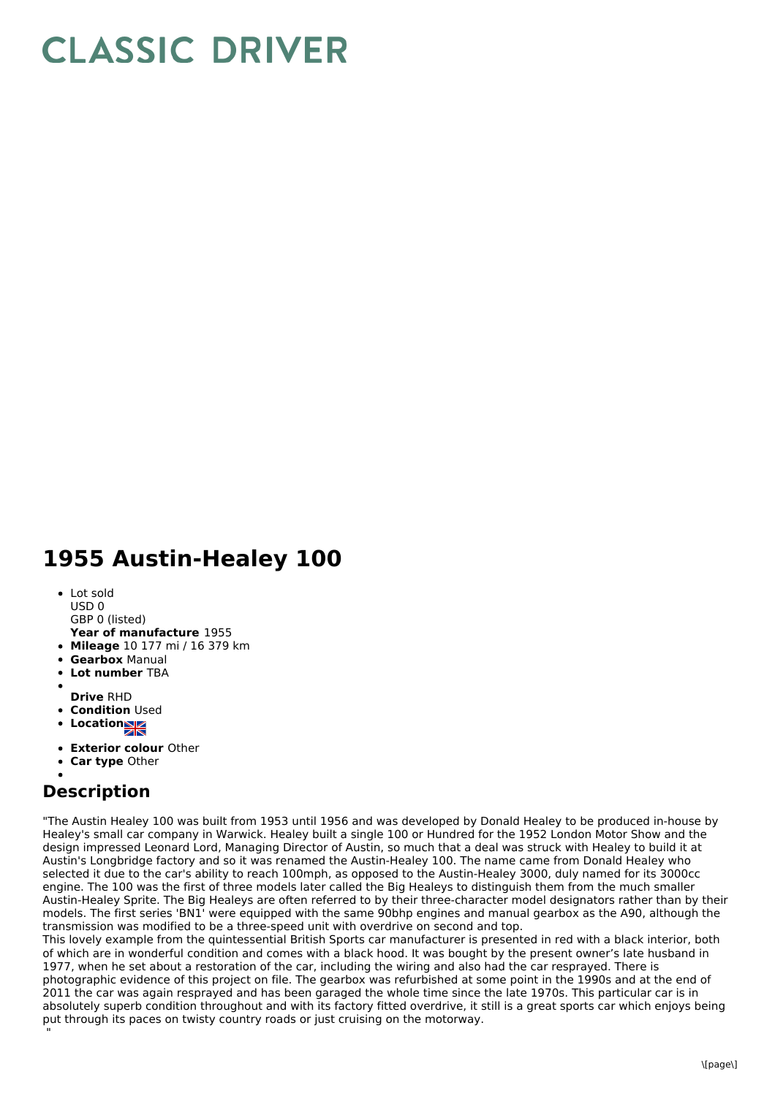## **CLASSIC DRIVER**

## **1955 Austin-Healey 100**

Lot sold USD 0 GBP 0 (listed)

**Year of manufacture** 1955

- **Mileage** 10 177 mi / 16 379 km
- **Gearbox** Manual
- **Lot number** TBA
- 
- **Drive** RHD
- **Condition Used**
- **LocationNE**
- **Exterior colour** Other
- **Car type** Other

## **Description**

"The Austin Healey 100 was built from 1953 until 1956 and was developed by Donald Healey to be produced in-house by Healey's small car company in Warwick. Healey built a single 100 or Hundred for the 1952 London Motor Show and the design impressed Leonard Lord, Managing Director of Austin, so much that a deal was struck with Healey to build it at Austin's Longbridge factory and so it was renamed the Austin-Healey 100. The name came from Donald Healey who selected it due to the car's ability to reach 100mph, as opposed to the Austin-Healey 3000, duly named for its 3000cc engine. The 100 was the first of three models later called the Big Healeys to distinguish them from the much smaller Austin-Healey Sprite. The Big Healeys are often referred to by their three-character model designators rather than by their models. The first series 'BN1' were equipped with the same 90bhp engines and manual gearbox as the A90, although the transmission was modified to be a three-speed unit with overdrive on second and top.

This lovely example from the quintessential British Sports car manufacturer is presented in red with a black interior, both of which are in wonderful condition and comes with a black hood. It was bought by the present owner's late husband in 1977, when he set about a restoration of the car, including the wiring and also had the car resprayed. There is photographic evidence of this project on file. The gearbox was refurbished at some point in the 1990s and at the end of 2011 the car was again resprayed and has been garaged the whole time since the late 1970s. This particular car is in absolutely superb condition throughout and with its factory fitted overdrive, it still is a great sports car which enjoys being put through its paces on twisty country roads or just cruising on the motorway. "